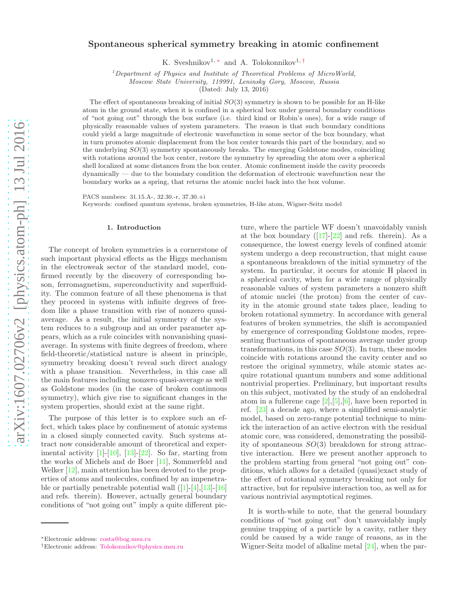# Spontaneous spherical symmetry breaking in atomic confinement

K. Sveshnikov<sup>1, \*</sup> and A. Tolokonnikov<sup>1, [†](#page-0-1)</sup>

 $1$ Department of Physics and Institute of Theoretical Problems of MicroWorld,

Moscow State University, 119991, Leninsky Gory, Moscow, Russia

(Dated: July 13, 2016)

The effect of spontaneous breaking of initial  $SO(3)$  symmetry is shown to be possible for an H-like atom in the ground state, when it is confined in a spherical box under general boundary conditions of "not going out" through the box surface (i.e. third kind or Robin's ones), for a wide range of physically reasonable values of system parameters. The reason is that such boundary conditions could yield a large magnitude of electronic wavefunction in some sector of the box boundary, what in turn promotes atomic displacement from the box center towards this part of the boundary, and so the underlying SO(3) symmetry spontaneously breaks. The emerging Goldstone modes, coinciding with rotations around the box center, restore the symmetry by spreading the atom over a spherical shell localized at some distances from the box center. Atomic confinement inside the cavity proceeds dynamically — due to the boundary condition the deformation of electronic wavefunction near the boundary works as a spring, that returns the atomic nuclei back into the box volume.

PACS numbers: 31.15.A-, 32.30.-r, 37.30.+i Keywords: confined quantum systems, broken symmetries, H-like atom, Wigner-Seitz model

#### 1. Introduction

The concept of broken symmetries is a cornerstone of such important physical effects as the Higgs mechanism in the electroweak sector of the standard model, confirmed recently by the discovery of corresponding boson, ferromagnetism, superconductivity and superfluidity. The common feature of all these phenomena is that they proceed in systems with infinite degrees of freedom like a phase transition with rise of nonzero quasiaverage. As a result, the initial symmetry of the system reduces to a subgroup and an order parameter appears, which as a rule coincides with nonvanishing quasiaverage. In systems with finite degrees of freedom, where field-theoretic/statistical nature is absent in principle, symmetry breaking doesn't reveal such direct analogy with a phase transition. Nevertheless, in this case all the main features including nonzero quasi-average as well as Goldstone modes (in the case of broken continuous symmetry), which give rise to significant changes in the system properties, should exist at the same right.

The purpose of this letter is to explore such an effect, which takes place by confinement of atomic systems in a closed simply connected cavity. Such systems attract now considerable amount of theoretical and experimental activity  $[1]$ - $[10]$ ,  $[13]$ - $[22]$  $[22]$ . So far, starting from the works of Michels and de Boer [\[11\]](#page-11-4), Sommerfeld and Welker [\[12](#page-11-5)], main attention has been devoted to the properties of atoms and molecules, confined by an impenetrableor partially penetrable potential wall  $(11-[4],[13]-[16]$  $(11-[4],[13]-[16]$  $(11-[4],[13]-[16]$  $(11-[4],[13]-[16]$  $(11-[4],[13]-[16]$ and refs. therein). However, actually general boundary conditions of "not going out" imply a quite different picture, where the particle WF doesn't unavoidably vanish atthe box boundary  $([17]-[22]$  $([17]-[22]$  $([17]-[22]$  $([17]-[22]$  and refs. therein). As a consequence, the lowest energy levels of confined atomic system undergo a deep reconstruction, that might cause a spontaneous breakdown of the initial symmetry of the system. In particular, it occurs for atomic H placed in a spherical cavity, when for a wide range of physically reasonable values of system parameters a nonzero shift of atomic nuclei (the proton) from the center of cavity in the atomic ground state takes place, leading to broken rotational symmetry. In accordance with general features of broken symmetries, the shift is accompanied by emergence of corresponding Goldstone modes, representing fluctuations of spontaneous average under group transformations, in this case  $SO(3)$ . In turn, these modes coincide with rotations around the cavity center and so restore the original symmetry, while atomic states acquire rotational quantum numbers and some additional nontrivial properties. Preliminary, but important results on this subject, motivated by the study of an endohedral atom in a fullerene cage [\[2](#page-11-9)],[\[5](#page-11-10)],[\[6\]](#page-11-11), have been reported in ref. [\[23](#page-11-12)] a decade ago, where a simplified semi-analytic model, based on zero-range potential technique to mimick the interaction of an active electron with the residual atomic core, was considered, demonstrating the possibility of spontaneous  $SO(3)$  breakdown for strong attractive interaction. Here we present another approach to the problem starting from general "not going out" conditions, which allows for a detailed (quasi)exact study of the effect of rotational symmetry breaking not only for attractive, but for repulsive interaction too, as well as for various nontrivial asymptotical regimes.

It is worth-while to note, that the general boundary conditions of "not going out" don't unavoidably imply genuine trapping of a particle by a cavity, rather they could be caused by a wide range of reasons, as in the Wigner-Seitz model of alkaline metal [\[24\]](#page-11-13), when the par-

<span id="page-0-0"></span><sup>∗</sup>Electronic address: [costa@bog.msu.ru](mailto:costa@bog.msu.ru)

<span id="page-0-1"></span><sup>†</sup>Electronic address: [Tolokonnikov@physics.msu.ru](mailto:Tolokonnikov@physics.msu.ru)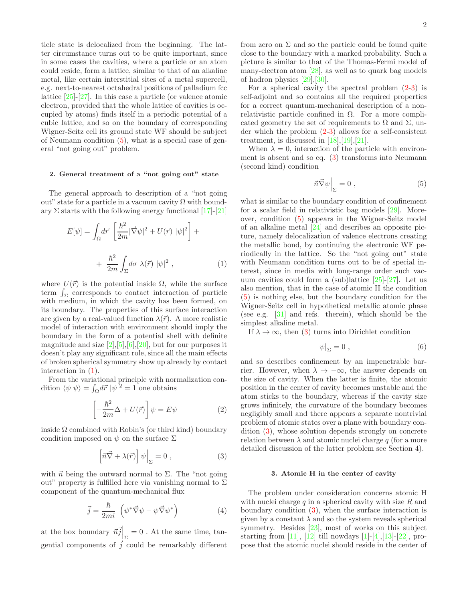ticle state is delocalized from the beginning. The latter circumstance turns out to be quite important, since in some cases the cavities, where a particle or an atom could reside, form a lattice, similar to that of an alkaline metal, like certain interstitial sites of a metal supercell, e.g. next-to-nearest octahedral positions of palladium fcc lattice [\[25\]](#page-11-14)-[\[27\]](#page-11-15). In this case a particle (or valence atomic electron, provided that the whole lattice of cavities is occupied by atoms) finds itself in a periodic potential of a cubic lattice, and so on the boundary of corresponding Wigner-Seitz cell its ground state WF should be subject of Neumann condition [\(5\)](#page-1-0), what is a special case of general "not going out" problem.

### 2. General treatment of a "not going out" state

The general approach to description of a "not going out" state for a particle in a vacuum cavity  $\Omega$  with boundary  $\Sigma$  starts with the following energy functional [\[17\]](#page-11-8)-[\[21](#page-11-16)]

<span id="page-1-1"></span>
$$
E[\psi] = \int_{\Omega} d\vec{r} \left[ \frac{\hbar^2}{2m} |\vec{\nabla}\psi|^2 + U(\vec{r}) |\psi|^2 \right] +
$$
  
+ 
$$
\frac{\hbar^2}{2m} \int_{\Sigma} d\sigma \ \lambda(\vec{r}) |\psi|^2 , \qquad (1)
$$

where  $U(\vec{r})$  is the potential inside  $\Omega$ , while the surface term  $\int_{\Sigma}$  corresponds to contact interaction of particle with medium, in which the cavity has been formed, on its boundary. The properties of this surface interaction are given by a real-valued function  $\lambda(\vec{r})$ . A more realistic model of interaction with environment should imply the boundary in the form of a potential shell with definite magnitude and size  $[2], [5], [6], [20]$  $[2], [5], [6], [20]$  $[2], [5], [6], [20]$ , but for our purposes it doesn't play any significant role, since all the main effects of broken spherical symmetry show up already by contact interaction in [\(1\)](#page-1-1).

From the variational principle with normalization condition  $\langle \psi | \psi \rangle = \int_{\Omega} d\vec{r} \ |\psi|^2 = 1$  one obtains

<span id="page-1-2"></span>
$$
\left[-\frac{\hbar^2}{2m}\Delta + U(\vec{r})\right]\psi = E\psi\tag{2}
$$

inside  $\Omega$  combined with Robin's (or third kind) boundary condition imposed on  $\psi$  on the surface  $\Sigma$ 

<span id="page-1-3"></span>
$$
\left[\vec{n}\vec{\nabla} + \lambda(\vec{r})\right]\psi\Big|_{\Sigma} = 0 , \qquad (3)
$$

with  $\vec{n}$  being the outward normal to  $\Sigma$ . The "not going" out" property is fulfilled here via vanishing normal to  $\Sigma$ component of the quantum-mechanical flux

$$
\vec{j} = \frac{\hbar}{2mi} \left( \psi^* \vec{\nabla} \psi - \psi \vec{\nabla} \psi^* \right)
$$
 (4)

at the box boundary  $\vec{n} \vec{j} \Big|_{\Sigma} = 0$ . At the same time, tangential components of  $\overrightarrow{j}$  could be remarkably different from zero on  $\Sigma$  and so the particle could be found quite close to the boundary with a marked probability. Such a picture is similar to that of the Thomas-Fermi model of many-electron atom [\[28\]](#page-11-18), as well as to quark bag models of hadron physics [29],[30].

For a spherical cavity the spectral problem  $(2-3)$  $(2-3)$  is self-adjoint and so contains all the required properties for a correct quantum-mechanical description of a nonrelativistic particle confined in  $\Omega$ . For a more complicated geometry the set of requirements to  $\Omega$  and  $\Sigma$ , under which the problem [\(2-](#page-1-2)[3\)](#page-1-3) allows for a self-consistent treatment, is discussed in  $[18], [19], [21].$  $[18], [19], [21].$  $[18], [19], [21].$  $[18], [19], [21].$  $[18], [19], [21].$ 

When  $\lambda = 0$ , interaction of the particle with environment is absent and so eq. [\(3\)](#page-1-3) transforms into Neumann (second kind) condition

<span id="page-1-0"></span>
$$
\vec{n} \vec{\nabla} \psi \Big|_{\Sigma} = 0 , \qquad (5)
$$

what is similar to the boundary condition of confinement for a scalar field in relativistic bag models [29]. Moreover, condition [\(5\)](#page-1-0) appears in the Wigner-Seitz model of an alkaline metal [\[24\]](#page-11-13) and describes an opposite picture, namely delocalization of valence electrons creating the metallic bond, by continuing the electronic WF periodically in the lattice. So the "not going out" state with Neumann condition turns out to be of special interest, since in media with long-range order such vacuum cavities could form a (sub)lattice [\[25\]](#page-11-14)-[\[27](#page-11-15)]. Let us also mention, that in the case of atomic H the condition [\(5\)](#page-1-0) is nothing else, but the boundary condition for the Wigner-Seitz cell in hypothetical metallic atomic phase (see e.g. [\[31](#page-11-21)] and refs. therein), which should be the simplest alkaline metal.

If  $\lambda \to \infty$ , then [\(3\)](#page-1-3) turns into Dirichlet condition

$$
\psi|_{\Sigma} = 0 \; , \tag{6}
$$

and so describes confinement by an impenetrable barrier. However, when  $\lambda \to -\infty$ , the answer depends on the size of cavity. When the latter is finite, the atomic position in the center of cavity becomes unstable and the atom sticks to the boundary, whereas if the cavity size grows infinitely, the curvature of the boundary becomes negligibly small and there appears a separate nontrivial problem of atomic states over a plane with boundary condition [\(3\)](#page-1-3), whose solution depends strongly on concrete relation between  $\lambda$  and atomic nuclei charge q (for a more detailed discussion of the latter problem see Section 4).

### 3. Atomic H in the center of cavity

The problem under consideration concerns atomic H with nuclei charge  $q$  in a spherical cavity with size  $R$  and boundary condition [\(3\)](#page-1-3), when the surface interaction is given by a constant  $\lambda$  and so the system reveals spherical symmetry. Besides [\[23\]](#page-11-12), most of works on this subject starting from [\[11](#page-11-4)], [\[12\]](#page-11-5) till nowdays [\[1](#page-11-0)]-[\[4\]](#page-11-6),[\[13](#page-11-2)]-[\[22\]](#page-11-3), propose that the atomic nuclei should reside in the center of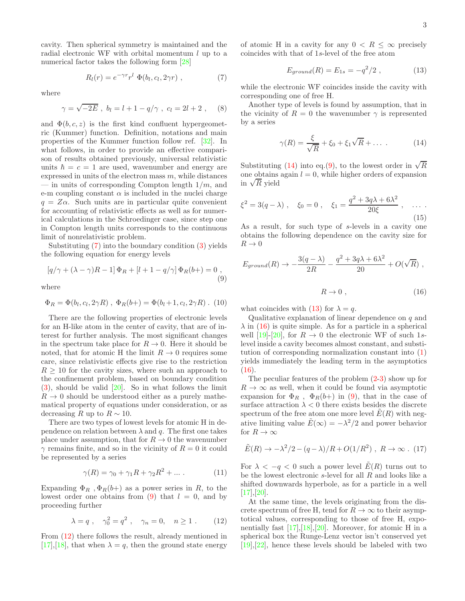cavity. Then spherical symmetry is maintained and the radial electronic WF with orbital momentum  $l$  up to a numerical factor takes the following form [\[28](#page-11-18)]

<span id="page-2-0"></span>
$$
R_l(r) = e^{-\gamma r} r^l \Phi(b_l, c_l, 2\gamma r) , \qquad (7)
$$

where

<span id="page-2-7"></span>
$$
\gamma = \sqrt{-2E}
$$
,  $b_l = l + 1 - q/\gamma$ ,  $c_l = 2l + 2$ , (8)

and  $\Phi(b, c, z)$  is the first kind confluent hypergeometric (Kummer) function. Definition, notations and main properties of the Kummer function follow ref. [\[32\]](#page-11-22). In what follows, in order to provide an effective comparison of results obtained previously, universal relativistic units  $\hbar = c = 1$  are used, wavenumber and energy are expressed in units of the electron mass  $m$ , while distances — in units of corresponding Compton length  $1/m$ , and e-m coupling constant  $\alpha$  is included in the nuclei charge  $q = Z\alpha$ . Such units are in particular quite convenient for accounting of relativistic effects as well as for numerical calculations in the Schroedinger case, since step one in Compton length units corresponds to the continuous limit of nonrelativistic problem.

Substituting [\(7\)](#page-2-0) into the boundary condition [\(3\)](#page-1-3) yields the following equation for energy levels

<span id="page-2-1"></span>
$$
[q/\gamma + (\lambda - \gamma)R - 1] \Phi_R + [l + 1 - q/\gamma] \Phi_R(b+) = 0,
$$
\n(9)

where

$$
\Phi_R = \Phi(b_l, c_l, 2\gamma R) , \ \Phi_R(b+) = \Phi(b_l + 1, c_l, 2\gamma R) . \tag{10}
$$

There are the following properties of electronic levels for an H-like atom in the center of cavity, that are of interest for further analysis. The most significant changes in the spectrum take place for  $R \to 0$ . Here it should be noted, that for atomic H the limit  $R \to 0$  requires some care, since relativistic effects give rise to the restriction  $R > 10$  for the cavity sizes, where such an approach to the confinement problem, based on boundary condition [\(3\)](#page-1-3), should be valid [\[20\]](#page-11-17). So in what follows the limit  $R \rightarrow 0$  should be understood either as a purely mathematical property of equations under consideration, or as decreasing R up to  $R \sim 10$ .

There are two types of lowest levels for atomic H in dependence on relation between  $\lambda$  and q. The first one takes place under assumption, that for  $R \to 0$  the wavenumber  $\gamma$  remains finite, and so in the vicinity of  $R = 0$  it could be represented by a series

$$
\gamma(R) = \gamma_0 + \gamma_1 R + \gamma_2 R^2 + \dots \tag{11}
$$

Expanding  $\Phi_R$ ,  $\Phi_R(b+)$  as a power series in R, to the lowest order one obtains from [\(9\)](#page-2-1) that  $l = 0$ , and by proceeding further

<span id="page-2-2"></span>
$$
\lambda = q
$$
,  $\gamma_0^2 = q^2$ ,  $\gamma_n = 0$ ,  $n \ge 1$ . (12)

From [\(12\)](#page-2-2) there follows the result, already mentioned in [\[17\]](#page-11-8),[\[18\]](#page-11-19), that when  $\lambda = q$ , then the ground state energy of atomic H in a cavity for any  $0 < R \leq \infty$  precisely coincides with that of 1s-level of the free atom

<span id="page-2-4"></span>
$$
E_{ground}(R) = E_{1s} = -q^2/2 \t\t(13)
$$

while the electronic WF coincides inside the cavity with corresponding one of free H.

Another type of levels is found by assumption, that in the vicinity of  $R = 0$  the wavenumber  $\gamma$  is represented by a series

<span id="page-2-3"></span>
$$
\gamma(R) = \frac{\xi}{\sqrt{R}} + \xi_0 + \xi_1 \sqrt{R} + \dots \tag{14}
$$

Substituting [\(14\)](#page-2-3) into eq.[\(9\)](#page-2-1), to the lowest order in  $\sqrt{R}$ one obtains again  $l = 0$ , while higher orders of expansion in  $\sqrt{R}$  yield

$$
\xi^2 = 3(q - \lambda)
$$
,  $\xi_0 = 0$ ,  $\xi_1 = \frac{q^2 + 3q\lambda + 6\lambda^2}{20\xi}$ , ... (15)

As a result, for such type of s-levels in a cavity one obtains the following dependence on the cavity size for  $R \to 0$ 

$$
E_{ground}(R) \rightarrow -\frac{3(q-\lambda)}{2R} - \frac{q^2 + 3q\lambda + 6\lambda^2}{20} + O(\sqrt{R}),
$$
  

$$
R \rightarrow 0, \qquad (16)
$$

<span id="page-2-5"></span>what coincides with [\(13\)](#page-2-4) for  $\lambda = q$ .

Qualitative explanation of linear dependence on  $q$  and  $\lambda$  in [\(16\)](#page-2-5) is quite simple. As for a particle in a spherical well [\[19\]](#page-11-20)-[\[20\]](#page-11-17), for  $R \to 0$  the electronic WF of such 1slevel inside a cavity becomes almost constant, and substitution of corresponding normalization constant into [\(1\)](#page-1-1) yields immediately the leading term in the asymptotics  $(16).$  $(16).$ 

The peculiar features of the problem [\(2-](#page-1-2)[3\)](#page-1-3) show up for  $R \to \infty$  as well, when it could be found via asymptotic expansion for  $\Phi_R$ ,  $\Phi_R(b+)$  in [\(9\)](#page-2-1), that in the case of surface attraction  $\lambda < 0$  there exists besides the discrete spectrum of the free atom one more level  $\tilde{E}(R)$  with negative limiting value  $\tilde{E}(\infty) = -\lambda^2/2$  and power behavior for  $R \to \infty$ 

<span id="page-2-6"></span>
$$
\tilde{E}(R) \to -\lambda^2/2 - (q - \lambda)/R + O(1/R^2) , R \to \infty . (17)
$$

For  $\lambda < -q < 0$  such a power level  $E(R)$  turns out to be the lowest electronic  $s$ -level for all  $R$  and looks like a shifted downwards hyperbole, as for a particle in a well  $[17], [20].$  $[17], [20].$  $[17], [20].$  $[17], [20].$ 

At the same time, the levels originating from the discrete spectrum of free H, tend for  $R \to \infty$  to their asymptotical values, corresponding to those of free H, exponentially fast [\[17\]](#page-11-8),[\[18\]](#page-11-19),[\[20](#page-11-17)]. Moreover, for atomic H in a spherical box the Runge-Lenz vector isn't conserved yet  $[19], [22],$  $[19], [22],$  $[19], [22],$  $[19], [22],$  hence these levels should be labeled with two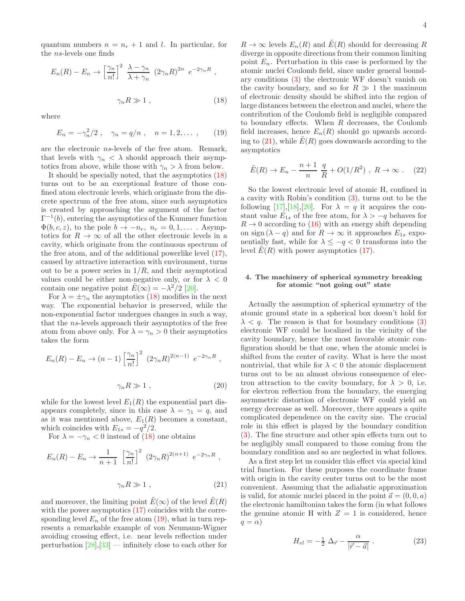quantum numbers  $n = n_r + 1$  and l. In particular, for the ns-levels one finds

$$
E_n(R) - E_n \to \left[\frac{\gamma_n}{n!}\right]^2 \frac{\lambda - \gamma_n}{\lambda + \gamma_n} (2\gamma_n R)^{2n} e^{-2\gamma_n R},
$$
  

$$
\gamma_n R \gg 1 ,
$$
 (18)

where

<span id="page-3-1"></span><span id="page-3-0"></span>
$$
E_n = -\gamma_n^2/2 \ , \quad \gamma_n = q/n \ , \quad n = 1, 2, \dots \ , \qquad (19)
$$

are the electronic ns-levels of the free atom. Remark, that levels with  $\gamma_n < \lambda$  should approach their asymptotics from above, while those with  $\gamma_n > \lambda$  from below.

It should be specially noted, that the asymptotics [\(18\)](#page-3-0) turns out to be an exceptional feature of those confined atom electronic levels, which originate from the discrete spectrum of the free atom, since such asymptotics is created by approaching the argument of the factor  $\Gamma^{-1}(b)$ , entering the asymptotics of the Kummer function  $\Phi(b, c, z)$ , to the pole  $b \to -n_r$ ,  $n_r = 0, 1, \ldots$ . Asymptotics for  $R \to \infty$  of all the other electronic levels in a cavity, which originate from the continuous spectrum of the free atom, and of the additional powerlike level [\(17\)](#page-2-6), caused by attractive interaction with environment, turns out to be a power series in  $1/R$ , and their asymptotical values could be either non-negative only, or for  $\lambda < 0$ contain one negative point  $\tilde{E}(\infty) = -\lambda^2/2$  [\[20\]](#page-11-17).

For  $\lambda = \pm \gamma_n$  the asymptotics [\(18\)](#page-3-0) modifies in the next way. The exponential behavior is preserved, while the non-exponential factor undergoes changes in such a way, that the ns-levels approach their asymptotics of the free atom from above only. For  $\lambda = \gamma_n > 0$  their asymptotics takes the form

$$
E_n(R) - E_n \to (n-1) \left[\frac{\gamma_n}{n!}\right]^2 (2\gamma_n R)^{2(n-1)} e^{-2\gamma_n R},
$$
  

$$
\gamma_n R \gg 1 ,
$$
 (20)

while for the lowest level  $E_1(R)$  the exponential part disappears completely, since in this case  $\lambda = \gamma_1 = q$ , and as it was mentioned above,  $E_1(R)$  becomes a constant, which coincides with  $E_{1s} = -q^2/2$ .

For  $\lambda = -\gamma_n < 0$  instead of [\(18\)](#page-3-0) one obtains

<span id="page-3-2"></span>
$$
E_n(R) - E_n \to \frac{1}{n+1} \left[ \frac{\gamma_n}{n!} \right]^2 (2\gamma_n R)^{2(n+1)} e^{-2\gamma_n R},
$$
  

$$
\gamma_n R \gg 1 ,
$$
 (21)

and moreover, the limiting point  $\tilde{E}(\infty)$  of the level  $\tilde{E}(R)$ with the power asymptotics  $(17)$  coincides with the corresponding level  $E_n$  of the free atom [\(19\)](#page-3-1), what in turn represents a remarkable example of von Neumann-Wigner avoiding crossing effect, i.e. near levels reflection under perturbation  $[28]$ ,  $[33]$  $[33]$  — infinitely close to each other for

 $R \to \infty$  levels  $E_n(R)$  and  $\tilde{E}(R)$  should for decreasing R diverge in opposite directions from their common limiting point  $E_n$ . Perturbation in this case is performed by the atomic nuclei Coulomb field, since under general boundary conditions [\(3\)](#page-1-3) the electronic WF doesn't vanish on the cavity boundary, and so for  $R \gg 1$  the maximum of electronic density should be shifted into the region of large distances between the electron and nuclei, where the contribution of the Coulomb field is negligible compared to boundary effects. When  $R$  decreases, the Coulomb field increases, hence  $E_n(R)$  should go upwards according to  $(21)$ , while  $E(R)$  goes downwards according to the asymptotics

$$
\tilde{E}(R) \to E_n - \frac{n+1}{n} \frac{q}{R} + O(1/R^2) , R \to \infty .
$$
 (22)

So the lowest electronic level of atomic H, confined in a cavity with Robin's condition [\(3\)](#page-1-3), turns out to be the following [\[17\]](#page-11-8),[\[18](#page-11-19)],[\[20\]](#page-11-17). For  $\lambda = q$  it acquires the constant value  $E_{1s}$  of the free atom, for  $\lambda > -q$  behaves for  $R \rightarrow 0$  according to [\(16\)](#page-2-5) with an energy shift depending on sign  $(\lambda - q)$  and for  $R \to \infty$  it approaches  $E_{1s}$  exponentially fast, while for  $\lambda \le -q < 0$  transforms into the level  $E(R)$  with power asymptotics [\(17\)](#page-2-6).

## 4. The machinery of spherical symmetry breaking for atomic "not going out" state

Actually the assumption of spherical symmetry of the atomic ground state in a spherical box doesn't hold for  $\lambda < q$ . The reason is that for boundary conditions [\(3\)](#page-1-3) electronic WF could be localized in the vicinity of the cavity boundary, hence the most favorable atomic configuration should be that one, when the atomic nuclei is shifted from the center of cavity. What is here the most nontrivial, that while for  $\lambda < 0$  the atomic displacement turns out to be an almost obvious consequence of electron attraction to the cavity boundary, for  $\lambda > 0$ , i.e. for electron reflection from the boundary, the emerging asymmetric distortion of electronic WF could yield an energy decrease as well. Moreover, there appears a quite complicated dependence on the cavity size. The crucial role in this effect is played by the boundary condition [\(3\)](#page-1-3). The fine structure and other spin effects turn out to be negligibly small compared to those coming from the boundary condition and so are neglected in what follows.

As a first step let us consider this effect via special kind trial function. For these purposes the coordinate frame with origin in the cavity center turns out to be the most convenient. Assuming that the adiabatic approximation is valid, for atomic nuclei placed in the point  $\vec{a} = (0, 0, a)$ the electronic hamiltonian takes the form (in what follows the genuine atomic H with  $Z = 1$  is considered, hence  $q = \alpha$ )

<span id="page-3-3"></span>
$$
H_{el} = -\frac{1}{2} \Delta_{\vec{r}} - \frac{\alpha}{|\vec{r} - \vec{a}|} \,. \tag{23}
$$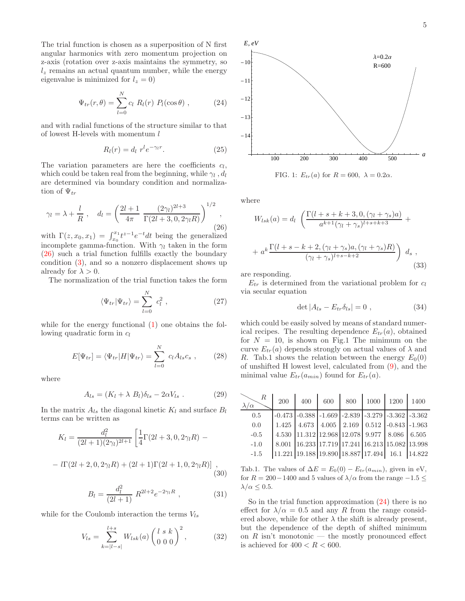The trial function is chosen as a superposition of N first angular harmonics with zero momentum projection on z-axis (rotation over z-axis maintains the symmetry, so  $l_z$  remains an actual quantum number, while the energy eigenvalue is minimized for  $l_z = 0$ )

<span id="page-4-1"></span>
$$
\Psi_{tr}(r,\theta) = \sum_{l=0}^{N} c_l R_l(r) P_l(\cos\theta) , \qquad (24)
$$

and with radial functions of the structure similar to that of lowest H-levels with momentum  $l$ 

$$
R_l(r) = d_l \ r^l e^{-\gamma_l r}.
$$
 (25)

The variation parameters are here the coefficients  $c_l$ , which could be taken real from the beginning, while  $\gamma_l$ ,  $d_l$ are determined via boundary condition and normalization of  $\Psi_{tr}$ 

<span id="page-4-0"></span>
$$
\gamma_l = \lambda + \frac{l}{R}
$$
,  $d_l = \left(\frac{2l+1}{4\pi} \frac{(2\gamma_l)^{2l+3}}{\Gamma(2l+3,0,2\gamma_l R)}\right)^{1/2}$ , (26)

with  $\Gamma(z, x_0, x_1) = \int_{x_0}^{x_1} t^{z-1} e^{-t} dt$  being the generalized incomplete gamma-function. With  $\gamma_l$  taken in the form [\(26\)](#page-4-0) such a trial function fulfills exactly the boundary condition [\(3\)](#page-1-3), and so a nonzero displacement shows up already for  $\lambda > 0$ .

The normalization of the trial function takes the form

$$
\langle \Psi_{tr} | \Psi_{tr} \rangle = \sum_{l=0}^{N} c_l^2 , \qquad (27)
$$

while for the energy functional [\(1\)](#page-1-1) one obtains the following quadratic form in  $c_l$ 

$$
E[\Psi_{tr}] = \langle \Psi_{tr} | H | \Psi_{tr} \rangle = \sum_{l=0}^{N} c_l A_{ls} c_s , \qquad (28)
$$

where

$$
A_{ls} = (K_l + \lambda B_l)\delta_{ls} - 2\alpha V_{ls} . \qquad (29)
$$

In the matrix  $A_{ls}$  the diagonal kinetic  $K_l$  and surface  $B_l$ terms can be written as

$$
K_l = \frac{d_l^2}{(2l+1)(2\gamma_l)^{2l+1}} \left[ \frac{1}{4} \Gamma(2l+3,0,2\gamma_l R) - \right]
$$

$$
-l\Gamma(2l+2,0,2\gamma_lR) + (2l+1)\Gamma(2l+1,0,2\gamma_lR)] ,
$$
\n(30)

$$
B_l = \frac{d_l^2}{(2l+1)} R^{2l+2} e^{-2\gamma_l R} , \qquad (31)
$$

while for the Coulomb interaction the terms  $V_{ls}$ 

$$
V_{ls} = \sum_{k=|l-s|}^{l+s} W_{lsk}(a) \begin{pmatrix} l & s & k \\ 0 & 0 & 0 \end{pmatrix}^2, \tag{32}
$$



FIG. 1:  $E_{tr}(a)$  for  $R = 600$ ,  $\lambda = 0.2\alpha$ .

where

$$
W_{lsk}(a) = d_l \left( \frac{\Gamma(l + s + k + 3, 0, (\gamma_l + \gamma_s)a)}{a^{k+1}(\gamma_l + \gamma_s)^{l+s+k+3}} + \right)
$$
  
+ 
$$
a^k \frac{\Gamma(l + s - k + 2, (\gamma_l + \gamma_s)a, (\gamma_l + \gamma_s)R)}{(\gamma_l + \gamma_s)^{l+s-k+2}} \right) d_s,
$$
(33)

are responding.

 $E_{tr}$  is determined from the variational problem for  $c_l$ via secular equation

$$
\det|A_{ls} - E_{tr}\delta_{ls}| = 0 , \qquad (34)
$$

which could be easily solved by means of standard numerical recipes. The resulting dependence  $E_{tr}(a)$ , obtained for  $N = 10$ , is shown on Fig.1 The minimum on the curve  $E_{tr}(a)$  depends strongly on actual values of  $\lambda$  and R. Tab.1 shows the relation between the energy  $E_0(0)$ of unshifted H lowest level, calculated from [\(9\)](#page-2-1), and the minimal value  $E_{tr}(a_{min})$  found for  $E_{tr}(a)$ .

| $R_{\rm}$<br>$\lambda/\alpha$ | 200 | 400                                                                                        | 600 800 1000 1200 1400 |  |  |
|-------------------------------|-----|--------------------------------------------------------------------------------------------|------------------------|--|--|
| 0.5                           |     | $-0.473$ $-0.388$ $-1.669$ $-2.839$ $-3.279$ $-3.362$ $-3.362$                             |                        |  |  |
| 0.0                           |     | $1.425$   $4.673$   $4.005$   $2.169$   $0.512$   $-0.843$   $-1.963$                      |                        |  |  |
| $-0.5$                        |     | 4.530 $\big  11.312 \big  12.968 \big  12.078 \big  9.977 \big  8.086 \big  6.505$         |                        |  |  |
| $-1.0$                        |     | 8.001 16.233 17.719 17.241 16.213 15.082 13.998                                            |                        |  |  |
| $-1.5$                        |     | $\vert 11.221 \vert 19.188 \vert 19.890 \vert 18.887 \vert 17.494 \vert 16.1 \vert 14.822$ |                        |  |  |

Tab.1. The values of  $\Delta E = E_0(0) - E_{tr}(a_{min})$ , given in eV, for  $R = 200-1400$  and 5 values of  $\lambda/\alpha$  from the range  $-1.5 \leq$  $\lambda/\alpha \leq 0.5$ .

So in the trial function approximation [\(24\)](#page-4-1) there is no effect for  $\lambda/\alpha = 0.5$  and any R from the range considered above, while for other  $\lambda$  the shift is already present, but the dependence of the depth of shifted minimum on R isn't monotonic — the mostly pronounced effect is achieved for  $400 < R < 600$ .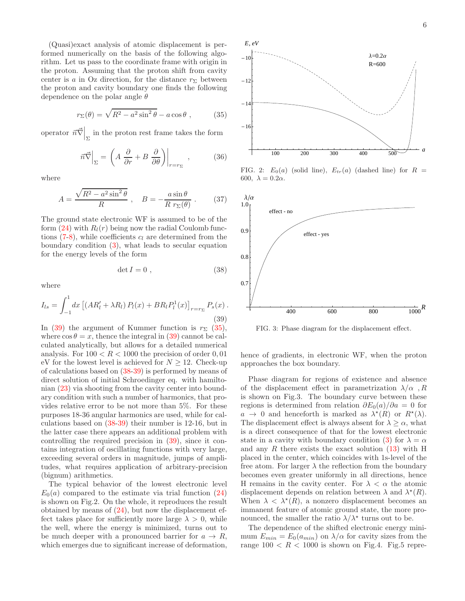(Quasi)exact analysis of atomic displacement is performed numerically on the basis of the following algorithm. Let us pass to the coordinate frame with origin in the proton. Assuming that the proton shift from cavity center is a in Oz direction, for the distance  $r_{\Sigma}$  between the proton and cavity boundary one finds the following dependence on the polar angle  $\theta$ 

<span id="page-5-1"></span>
$$
r_{\Sigma}(\theta) = \sqrt{R^2 - a^2 \sin^2 \theta} - a \cos \theta , \qquad (35)
$$

operator  $\left. \vec{n} \vec{\nabla} \right|_{\Sigma}$  in the proton rest frame takes the form

$$
\vec{n}\vec{\nabla}\Big|_{\Sigma} = \left(A\frac{\partial}{\partial r} + B\frac{\partial}{\partial \theta}\right)\Big|_{r=r_{\Sigma}},\tag{36}
$$

where

$$
A = \frac{\sqrt{R^2 - a^2 \sin^2 \theta}}{R}, \quad B = -\frac{a \sin \theta}{R r_{\Sigma}(\theta)}.
$$
 (37)

The ground state electronic WF is assumed to be of the form  $(24)$  with  $R_l(r)$  being now the radial Coulomb functions  $(7-8)$  $(7-8)$ , while coefficients  $c_l$  are determined from the boundary condition  $(3)$ , what leads to secular equation for the energy levels of the form

<span id="page-5-2"></span>
$$
\det I = 0 \tag{38}
$$

where

<span id="page-5-0"></span>
$$
I_{ls} = \int_{-1}^{1} dx \left[ (AR'_l + \lambda R_l) P_l(x) + BR_l P_l^1(x) \right]_{r=r_{\Sigma}} P_s(x) .
$$
\n(39)

In [\(39\)](#page-5-0) the argument of Kummer function is  $r_{\Sigma}$  [\(35\)](#page-5-1), where  $\cos \theta = x$ , thence the integral in [\(39\)](#page-5-0) cannot be calculated analytically, but allows for a detailed numerical analysis. For  $100 < R < 1000$  the precision of order 0,01 eV for the lowest level is achieved for  $N > 12$ . Check-up of calculations based on [\(38-](#page-5-2)[39\)](#page-5-0) is performed by means of direct solution of initial Schroedinger eq. with hamiltonian [\(23\)](#page-3-3) via shooting from the cavity center into boundary condition with such a number of harmonics, that provides relative error to be not more than 5%. For these purposes 18-36 angular harmonics are used, while for calculations based on [\(38](#page-5-2)[-39\)](#page-5-0) their number is 12-16, but in the latter case there appears an additional problem with controlling the required precision in [\(39\)](#page-5-0), since it contains integration of oscillating functions with very large, exceeding several orders in magnitude, jumps of amplitudes, what requires application of arbitrary-precision (bignum) arithmetics.

The typical behavior of the lowest electronic level  $E_0(a)$  compared to the estimate via trial function  $(24)$ is shown on Fig.2. On the whole, it reproduces the result obtained by means of [\(24\)](#page-4-1), but now the displacement effect takes place for sufficiently more large  $\lambda > 0$ , while the well, where the energy is minimized, turns out to be much deeper with a pronounced barrier for  $a \to R$ , which emerges due to significant increase of deformation,



FIG. 2:  $E_0(a)$  (solid line),  $E_{tr}(a)$  (dashed line) for  $R =$ 600,  $\lambda = 0.2\alpha$ .



FIG. 3: Phase diagram for the displacement effect.

hence of gradients, in electronic WF, when the proton approaches the box boundary.

Phase diagram for regions of existence and absence of the displacement effect in parametrization  $\lambda/\alpha$ , R is shown on Fig.3. The boundary curve between these regions is determined from relation  $\partial E_0(a)/\partial a = 0$  for  $a \to 0$  and henceforth is marked as  $\lambda^*(R)$  or  $R^*(\lambda)$ . The displacement effect is always absent for  $\lambda > \alpha$ , what is a direct consequence of that for the lowest electronic state in a cavity with boundary condition [\(3\)](#page-1-3) for  $\lambda = \alpha$ and any R there exists the exact solution  $(13)$  with H placed in the center, which coincides with 1s-level of the free atom. For larger  $\lambda$  the reflection from the boundary becomes even greater uniformly in all directions, hence H remains in the cavity center. For  $\lambda < \alpha$  the atomic displacement depends on relation between  $\lambda$  and  $\lambda^*(R)$ . When  $\lambda < \lambda^*(R)$ , a nonzero displacement becomes an immanent feature of atomic ground state, the more pronounced, the smaller the ratio  $\lambda/\lambda^*$  turns out to be.

The dependence of the shifted electronic energy minimum  $E_{min} = E_0(a_{min})$  on  $\lambda/\alpha$  for cavity sizes from the range  $100 < R < 1000$  is shown on Fig.4. Fig.5 repre-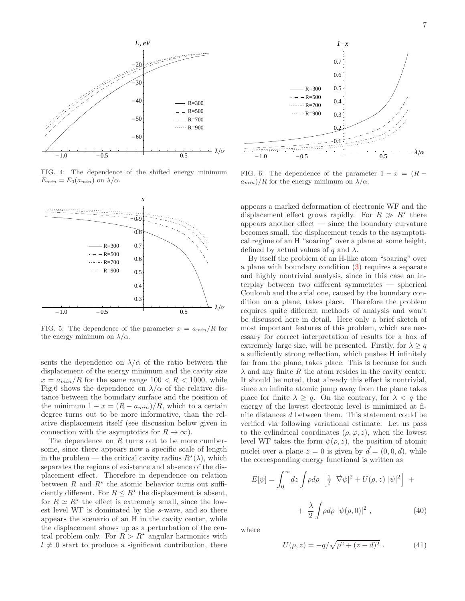

FIG. 4: The dependence of the shifted energy minimum  $E_{min} = E_0(a_{min})$  on  $\lambda/\alpha$ .



FIG. 5: The dependence of the parameter  $x = a_{min}/R$  for the energy minimum on  $\lambda/\alpha$ .

sents the dependence on  $\lambda/\alpha$  of the ratio between the displacement of the energy minimum and the cavity size  $x = a_{min}/R$  for the same range  $100 < R < 1000$ , while Fig.6 shows the dependence on  $\lambda/\alpha$  of the relative distance between the boundary surface and the position of the minimum  $1 - x = (R - a_{min})/R$ , which to a certain degree turns out to be more informative, than the relative displacement itself (see discussion below given in connection with the asymptotics for  $R \to \infty$ ).

The dependence on  $R$  turns out to be more cumbersome, since there appears now a specific scale of length in the problem — the critical cavity radius  $R^*(\lambda)$ , which separates the regions of existence and absence of the displacement effect. Therefore in dependence on relation between  $R$  and  $R^*$  the atomic behavior turns out sufficiently different. For  $R \leq R^*$  the displacement is absent, for  $R \simeq R^*$  the effect is extremely small, since the lowest level WF is dominated by the s-wave, and so there appears the scenario of an H in the cavity center, while the displacement shows up as a perturbation of the central problem only. For  $R > R^*$  angular harmonics with  $l \neq 0$  start to produce a significant contribution, there



FIG. 6: The dependence of the parameter  $1 - x = (R$  $a_{min}$ )/R for the energy minimum on  $\lambda/\alpha$ .

appears a marked deformation of electronic WF and the displacement effect grows rapidly. For  $R \gg R^*$  there appears another effect — since the boundary curvature becomes small, the displacement tends to the asymptotical regime of an H "soaring" over a plane at some height, defined by actual values of q and  $\lambda$ .

By itself the problem of an H-like atom "soaring" over a plane with boundary condition [\(3\)](#page-1-3) requires a separate and highly nontrivial analysis, since in this case an interplay between two different symmetries — spherical Coulomb and the axial one, caused by the boundary condition on a plane, takes place. Therefore the problem requires quite different methods of analysis and won't be discussed here in detail. Here only a brief sketch of most important features of this problem, which are necessary for correct interpretation of results for a box of extremely large size, will be presented. Firstly, for  $\lambda \geq q$ a sufficiently strong reflection, which pushes H infinitely far from the plane, takes place. This is because for such  $\lambda$  and any finite R the atom resides in the cavity center. It should be noted, that already this effect is nontrivial, since an infinite atomic jump away from the plane takes place for finite  $\lambda \geq q$ . On the contrary, for  $\lambda < q$  the energy of the lowest electronic level is minimized at finite distances d between them. This statement could be verified via following variational estimate. Let us pass to the cylindrical coordinates  $(\rho, \varphi, z)$ , when the lowest level WF takes the form  $\psi(\rho, z)$ , the position of atomic nuclei over a plane  $z = 0$  is given by  $\vec{d} = (0, 0, d)$ , while the corresponding energy functional is written as

$$
E[\psi] = \int_0^\infty dz \int \rho d\rho \left[ \frac{1}{2} |\vec{\nabla}\psi|^2 + U(\rho, z) |\psi|^2 \right] +
$$
  
+ 
$$
\frac{\lambda}{2} \int \rho d\rho |\psi(\rho, 0)|^2 , \qquad (40)
$$

where

<span id="page-6-0"></span>
$$
U(\rho, z) = -q/\sqrt{\rho^2 + (z - d)^2} . \tag{41}
$$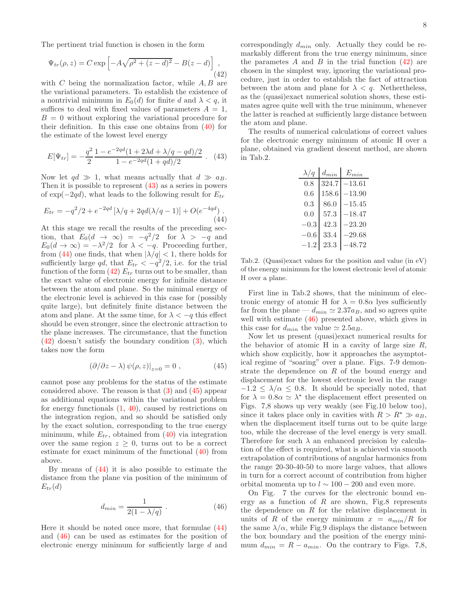The pertinent trial function is chosen in the form

<span id="page-7-2"></span>
$$
\Psi_{tr}(\rho, z) = C \exp \left[ -A\sqrt{\rho^2 + (z - d)^2} - B(z - d) \right],
$$
\n(42)

with  $C$  being the normalization factor, while  $A, B$  are the variational parameters. To establish the existence of a nontrivial minimum in  $E_0(d)$  for finite d and  $\lambda < q$ , it suffices to deal with fixed values of parameters  $A = 1$ ,  $B = 0$  without exploring the variational procedure for their definition. In this case one obtains from [\(40\)](#page-6-0) for the estimate of the lowest level energy

<span id="page-7-0"></span>
$$
E[\Psi_{tr}] = -\frac{q^2}{2} \frac{1 - e^{-2qd}(1 + 2\lambda d + \lambda/q - qd)/2}{1 - e^{-2qd}(1 + qd)/2} \ . \tag{43}
$$

Now let  $qd \gg 1$ , what means actually that  $d \gg a_B$ . Then it is possible to represent [\(43\)](#page-7-0) as a series in powers of  $\exp(-2qd)$ , what leads to the following result for  $E_{tr}$ 

<span id="page-7-1"></span>
$$
E_{tr} = -q^2/2 + e^{-2qd} \left[ \lambda/q + 2qd(\lambda/q - 1) \right] + O(e^{-4qd}).
$$
\n(44)

At this stage we recall the results of the preceding section, that  $E_0(d \to \infty) = -q^2/2$  for  $\lambda > -q$  and  $E_0(d \to \infty) = -\lambda^2/2$  for  $\lambda < -q$ . Proceeding further, from [\(44\)](#page-7-1) one finds, that when  $|\lambda/q| < 1$ , there holds for sufficiently large qd, that  $E_{tr} < -q^2/2$ , i.e. for the trial function of the form  $(42)$   $E_{tr}$  turns out to be smaller, than the exact value of electronic energy for infinite distance between the atom and plane. So the minimal energy of the electronic level is achieved in this case for (possibly quite large), but definitely finite distance between the atom and plane. At the same time, for  $\lambda < -q$  this effect should be even stronger, since the electronic attraction to the plane increases. The circumstance, that the function [\(42\)](#page-7-2) doesn't satisfy the boundary condition [\(3\)](#page-1-3), which takes now the form

<span id="page-7-3"></span>
$$
(\partial/\partial z - \lambda) \psi(\rho, z)|_{z=0} = 0 , \qquad (45)
$$

cannot pose any problems for the status of the estimate considered above. The reason is that [\(3\)](#page-1-3) and [\(45\)](#page-7-3) appear as additional equations within the variational problem for energy functionals [\(1,](#page-1-1) [40\)](#page-6-0), caused by restrictions on the integration region, and so should be satisfied only by the exact solution, corresponding to the true energy minimum, while  $E_{tr}$ , obtained from [\(40\)](#page-6-0) via integration over the same region  $z \geq 0$ , turns out to be a correct estimate for exact minimum of the functional [\(40\)](#page-6-0) from above.

By means of [\(44\)](#page-7-1) it is also possible to estimate the distance from the plane via position of the minimum of  $E_{tr}(d)$ 

<span id="page-7-4"></span>
$$
d_{min} = \frac{1}{2(1 - \lambda/q)} \,. \tag{46}
$$

Here it should be noted once more, that formulae [\(44\)](#page-7-1) and [\(46\)](#page-7-4) can be used as estimates for the position of electronic energy minimum for sufficiently large d and

correspondingly  $d_{min}$  only. Actually they could be remarkably different from the true energy minimum, since the parametes  $A$  and  $B$  in the trial function  $(42)$  are chosen in the simplest way, ignoring the variational procedure, just in order to establish the fact of attraction between the atom and plane for  $\lambda < q$ . Nethertheless, as the (quasi)exact numerical solution shows, these estimates agree quite well with the true minimum, whenever the latter is reached at sufficiently large distance between the atom and plane.

The results of numerical calculations of correct values for the electronic energy minimum of atomic H over a plane, obtained via gradient descent method, are shown in Tab.2.

| $\lambda/q$ | $d_{min}$ | $E_{min}$ |
|-------------|-----------|-----------|
| 0.8         | 324.7     | $-13.61$  |
| 0.6         | 158.6     | $-13.90$  |
| 0.3         | 86.0      | $-15.45$  |
| (0, 0)      | 57.3      | $-18.47$  |
| $-0.3$      | 42.3      | $-23.20$  |
| $-0.6$      | 33.4      | $-29.68$  |
| $-1.2$      | 23.3      | $-48.72$  |

Tab.2. (Quasi)exact values for the position and value (in eV) of the energy minimum for the lowest electronic level of atomic H over a plane.

First line in Tab.2 shows, that the minimum of electronic energy of atomic H for  $\lambda = 0.8\alpha$  lyes sufficiently far from the plane —  $d_{min} \simeq 2.37a_B$ , and so agrees quite well with estimate  $(46)$  presented above, which gives in this case for  $d_{min}$  the value  $\simeq 2.5a_B$ .

Now let us present (quasi)exact numerical results for the behavior of atomic H in a cavity of large size  $R$ , which show explicitly, how it approaches the asymptotical regime of "soaring" over a plane. Figs. 7-9 demonstrate the dependence on  $R$  of the bound energy and displacement for the lowest electronic level in the range  $-1.2 \leq \lambda/\alpha \leq 0.8$ . It should be specially noted, that for  $\lambda = 0.8\alpha \simeq \lambda^*$  the displacement effect presented on Figs. 7,8 shows up very weakly (see Fig.10 below too), since it takes place only in cavities with  $R > R^* \gg a_B$ , when the displacement itself turns out to be quite large too, while the decrease of the level energy is very small. Therefore for such  $\lambda$  an enhanced precision by calculation of the effect is required, what is achieved via smooth extrapolation of contributions of angular harmonics from the range 20-30-40-50 to more large values, that allows in turn for a correct account of contribution from higher orbital momenta up to  $l \sim 100 - 200$  and even more.

On Fig. 7 the curves for the electronic bound energy as a function of  $R$  are shown, Fig.8 represents the dependence on  $R$  for the relative displacement in units of R of the energy minimum  $x = a_{min}/R$  for the same  $\lambda/\alpha$ , while Fig.9 displays the distance between the box boundary and the position of the energy minimum  $d_{min} = R - a_{min}$ . On the contrary to Figs. 7,8,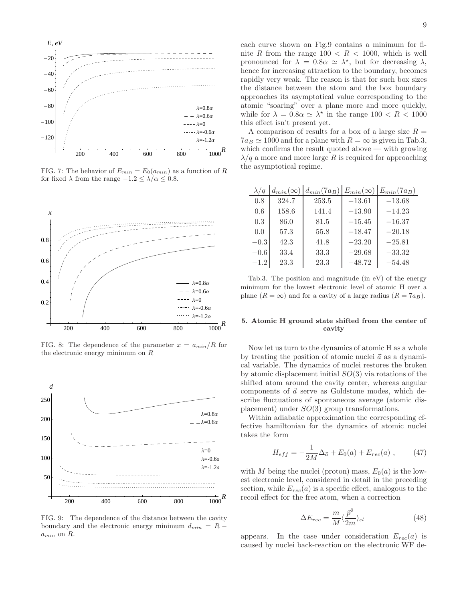

FIG. 7: The behavior of  $E_{min} = E_0(a_{min})$  as a function of R for fixed  $\lambda$  from the range  $-1.2 \leq \lambda/\alpha \leq 0.8.$ 



FIG. 8: The dependence of the parameter  $x = a_{min}/R$  for the electronic energy minimum on R



FIG. 9: The dependence of the distance between the cavity boundary and the electronic energy minimum  $d_{min} = R$  $a_{min}$  on  $R$ .

each curve shown on Fig.9 contains a minimum for finite R from the range  $100 < R < 1000$ , which is well pronounced for  $\lambda = 0.8\alpha \simeq \lambda^*$ , but for decreasing  $\lambda$ , hence for increasing attraction to the boundary, becomes rapidly very weak. The reason is that for such box sizes the distance between the atom and the box boundary approaches its asymptotical value corresponding to the atomic "soaring" over a plane more and more quickly, while for  $\lambda = 0.8\alpha \simeq \lambda^*$  in the range  $100 < R < 1000$ this effect isn't present yet.

A comparison of results for a box of a large size  $R =$  $7a_B \simeq 1000$  and for a plane with  $R = \infty$  is given in Tab.3, which confirms the result quoted above — with growing  $\lambda/q$  a more and more large R is required for approaching the asymptotical regime.

| $\lambda/q$ |       | $d_{min}(\infty)   d_{min}(7a_B)   E_{min}(\infty)   E_{min}(7a_B)$ |          |          |
|-------------|-------|---------------------------------------------------------------------|----------|----------|
| 0.8         | 324.7 | 253.5                                                               | $-13.61$ | $-13.68$ |
| 0.6         | 158.6 | 141.4                                                               | $-13.90$ | $-14.23$ |
| 0.3         | 86.0  | 81.5                                                                | $-15.45$ | $-16.37$ |
| 0.0         | 57.3  | 55.8                                                                | $-18.47$ | $-20.18$ |
| $-0.3$      | 42.3  | 41.8                                                                | $-23.20$ | $-25.81$ |
| $-0.6$      | 33.4  | 33.3                                                                | $-29.68$ | $-33.32$ |
| $-1.2$      | 23.3  | 23.3                                                                | $-48.72$ | $-54.48$ |

Tab.3. The position and magnitude (in eV) of the energy minimum for the lowest electronic level of atomic H over a plane  $(R = \infty)$  and for a cavity of a large radius  $(R = 7a_B)$ .

## 5. Atomic H ground state shifted from the center of cavity

Now let us turn to the dynamics of atomic H as a whole by treating the position of atomic nuclei  $\vec{a}$  as a dynamical variable. The dynamics of nuclei restores the broken by atomic displacement initial  $SO(3)$  via rotations of the shifted atom around the cavity center, whereas angular components of  $\vec{a}$  serve as Goldstone modes, which describe fluctuations of spontaneous average (atomic displacement) under SO(3) group transformations.

Within adiabatic approximation the corresponding effective hamiltonian for the dynamics of atomic nuclei takes the form

$$
H_{eff} = -\frac{1}{2M}\Delta_{\vec{a}} + E_0(a) + E_{rec}(a) , \qquad (47)
$$

with M being the nuclei (proton) mass,  $E_0(a)$  is the lowest electronic level, considered in detail in the preceding section, while  $E_{rec}(a)$  is a specific effect, analogous to the recoil effect for the free atom, when a correction

$$
\Delta E_{rec} = \frac{m}{M} \langle \frac{\vec{p}^2}{2m} \rangle_{el} \tag{48}
$$

appears. In the case under consideration  $E_{rec}(a)$  is caused by nuclei back-reaction on the electronic WF de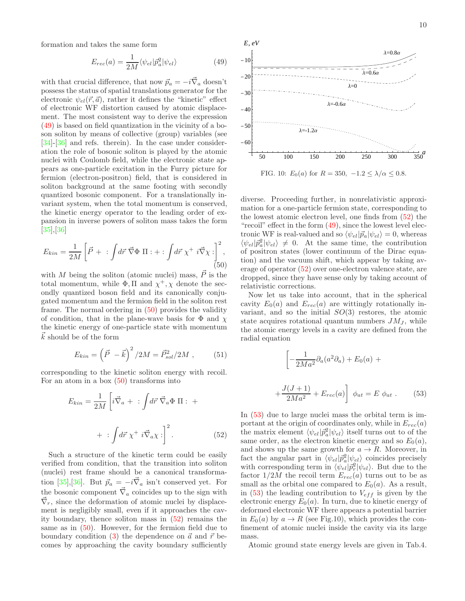formation and takes the same form

<span id="page-9-0"></span>
$$
E_{rec}(a) = \frac{1}{2M} \langle \psi_{el} | \bar{p}_a^2 | \psi_{el} \rangle \tag{49}
$$

with that crucial difference, that now  $\vec{p}_a = -i\vec{\nabla}_a$  doesn't possess the status of spatial translations generator for the electronic  $\psi_{el}(\vec{r}, \vec{a})$ , rather it defines the "kinetic" effect of electronic WF distortion caused by atomic displacement. The most consistent way to derive the expression [\(49\)](#page-9-0) is based on field quantization in the vicinity of a boson soliton by means of collective (group) variables (see [\[34\]](#page-11-24)-[\[36\]](#page-11-25) and refs. therein). In the case under consideration the role of bosonic soliton is played by the atomic nuclei with Coulomb field, while the electronic state appears as one-particle excitation in the Furry picture for fermion (electron-positron) field, that is considered in soliton background at the same footing with secondly quantized bosonic component. For a translationally invariant system, when the total momentum is conserved, the kinetic energy operator to the leading order of expansion in inverse powers of soliton mass takes the form [\[35\]](#page-11-26),[\[36\]](#page-11-25)

<span id="page-9-1"></span>
$$
E_{kin} = \frac{1}{2M} \left[ \vec{P} + \cdot \int d\vec{r} \ \vec{\nabla}\Phi \ \Pi : + \cdot \int d\vec{r} \ \chi^+ \ i\vec{\nabla}\chi : \right]^2, \tag{50}
$$

with M being the soliton (atomic nuclei) mass,  $\vec{P}$  is the total momentum, while  $\Phi$ ,  $\Pi$  and  $\chi^+$ ,  $\chi$  denote the secondly quantized boson field and its canonically conjugated momentum and the fermion field in the soliton rest frame. The normal ordering in [\(50\)](#page-9-1) provides the validity of condition, that in the plane-wave basis for  $\Phi$  and  $\chi$ the kinetic energy of one-particle state with momentum  $\vec{k}$  should be of the form

$$
E_{kin} = \left(\vec{P} - \vec{k}\right)^2 / 2M = \vec{P}_{sol}^2 / 2M ,\qquad (51)
$$

corresponding to the kinetic soliton energy with recoil. For an atom in a box  $(50)$  transforms into

<span id="page-9-2"></span>
$$
E_{kin} = \frac{1}{2M} \left[ i \vec{\nabla}_a + \cdot \int d\vec{r} \ \vec{\nabla}_a \Phi \ \Pi : \ + \right.
$$

$$
+ \cdot \int d\vec{r} \ \chi^+ \ i \vec{\nabla}_a \chi : \right]^2.
$$
(52)

Such a structure of the kinetic term could be easily verified from condition, that the transition into soliton (nuclei) rest frame should be a canonical transforma-tion [\[35\]](#page-11-26),[\[36](#page-11-25)]. But  $\vec{p}_a = -i\vec{\nabla}_a$  isn't conserved yet. For the bosonic component  $\vec{\nabla}_a$  coincides up to the sign with  $\vec{\nabla}_r$ , since the deformation of atomic nuclei by displacement is negligibly small, even if it approaches the cavity boundary, thence soliton mass in [\(52\)](#page-9-2) remains the same as in  $(50)$ . However, for the fermion field due to boundary condition [\(3\)](#page-1-3) the dependence on  $\vec{a}$  and  $\vec{r}$  becomes by approaching the cavity boundary sufficiently



diverse. Proceeding further, in nonrelativistic approximation for a one-particle fermion state, corresponding to the lowest atomic electron level, one finds from [\(52\)](#page-9-2) the " $recoil$ " effect in the form  $(49)$ , since the lowest level electronic WF is real-valued and so  $\langle \psi_{el}|\vec{p}_a|\psi_{el}\rangle = 0$ , whereas  $\langle \psi_{el} | \vec{p}_a^2 | \psi_{el} \rangle \neq 0$ . At the same time, the contribution of positron states (lower continuum of the Dirac equation) and the vacuum shift, which appear by taking average of operator [\(52\)](#page-9-2) over one-electron valence state, are

Now let us take into account, that in the spherical cavity  $E_0(a)$  and  $E_{rec}(a)$  are wittingly rotationally invariant, and so the initial  $SO(3)$  restores, the atomic state acquires rotational quantum numbers  $JM_J$ , while the atomic energy levels in a cavity are defined from the radial equation

dropped, since they have sense only by taking account of

relativistic corrections.

$$
\left[-\frac{1}{2Ma^2}\partial_a(a^2\partial_a) + E_0(a) + \right.
$$
  
 
$$
+\frac{J(J+1)}{2Ma^2} + E_{rec}(a)\right] \phi_{at} = E \phi_{at} . \tag{53}
$$

<span id="page-9-3"></span>In [\(53\)](#page-9-3) due to large nuclei mass the orbital term is important at the origin of coordinates only, while in  $E_{rec}(a)$ the matrix element  $\langle \psi_{el} | \vec{p}_a^2 | \psi_{el} \rangle$  itself turns out to of the same order, as the electron kinetic energy and so  $E_0(a)$ , and shows up the same growth for  $a \to R$ . Moreover, in fact the angular part in  $\langle \psi_{el} | \vec{p}_a^2 | \psi_{el} \rangle$  coincides precisely with corresponding term in  $\langle \psi_{el} | \vec{p}_r^2 | \psi_{el} \rangle$ . But due to the factor  $1/2M$  the recoil term  $E_{rec}(a)$  turns out to be as small as the orbital one compared to  $E_0(a)$ . As a result, in [\(53\)](#page-9-3) the leading contribution to  $V_{eff}$  is given by the electronic energy  $E_0(a)$ . In turn, due to kinetic energy of deformed electronic WF there appears a potential barrier in  $E_0(a)$  by  $a \to R$  (see Fig.10), which provides the confinement of atomic nuclei inside the cavity via its large mass.

Atomic ground state energy levels are given in Tab.4.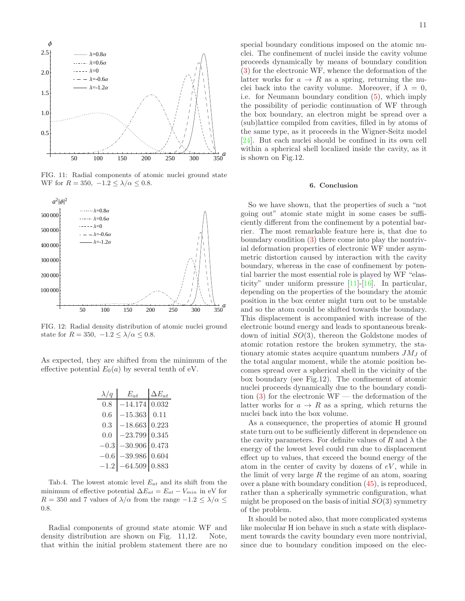

FIG. 11: Radial components of atomic nuclei ground state WF for  $R = 350, -1.2 \leq \lambda/\alpha \leq 0.8$ .



FIG. 12: Radial density distribution of atomic nuclei ground state for  $R = 350, -1.2 \leq \lambda/\alpha \leq 0.8$ .

As expected, they are shifted from the minimum of the effective potential  $E_0(a)$  by several tenth of eV.

| $\lambda/q$ | $E_{at}$        | $\Delta E_{at}$ |
|-------------|-----------------|-----------------|
| 0.8         | $-14.174$       | 0.032           |
| 0.6         | $-15.363$       | 0.11            |
| 0.3         | $-18.663$       | 0.223           |
| 0.0         | $-23.799$       | 0.345           |
| $-0.3$      | $-30.906$       | 0.473           |
| $-0.6$      | $-39.986$       | 0.604           |
| $-1.2$      | $-64.509$ 0.883 |                 |

Tab.4. The lowest atomic level  $E_{at}$  and its shift from the minimum of effective potential  $\Delta E_{at} = E_{at} - V_{min}$  in eV for R = 350 and 7 values of  $\lambda/\alpha$  from the range  $-1.2 \leq \lambda/\alpha \leq$ 0.8.

Radial components of ground state atomic WF and density distribution are shown on Fig. 11,12. Note, that within the initial problem statement there are no special boundary conditions imposed on the atomic nuclei. The confinement of nuclei inside the cavity volume proceeds dynamically by means of boundary condition [\(3\)](#page-1-3) for the electronic WF, whence the deformation of the latter works for  $a \to R$  as a spring, returning the nuclei back into the cavity volume. Moreover, if  $\lambda = 0$ , i.e. for Neumann boundary condition [\(5\)](#page-1-0), which imply the possibility of periodic continuation of WF through the box boundary, an electron might be spread over a (sub)lattice compiled from cavities, filled in by atoms of the same type, as it proceeds in the Wigner-Seitz model [\[24\]](#page-11-13). But each nuclei should be confined in its own cell within a spherical shell localized inside the cavity, as it is shown on Fig.12.

#### 6. Conclusion

So we have shown, that the properties of such a "not going out" atomic state might in some cases be sufficiently different from the confinement by a potential barrier. The most remarkable feature here is, that due to boundary condition [\(3\)](#page-1-3) there come into play the nontrivial deformation properties of electronic WF under asymmetric distortion caused by interaction with the cavity boundary, whereas in the case of confinement by potential barrier the most essential role is played by WF "elasticity" under uniform pressure [\[11\]](#page-11-4)-[\[16](#page-11-7)]. In particular, depending on the properties of the boundary the atomic position in the box center might turn out to be unstable and so the atom could be shifted towards the boundary. This displacement is accompanied with increase of the electronic bound energy and leads to spontaneous breakdown of initial SO(3), thereon the Goldstone modes of atomic rotation restore the broken symmetry, the stationary atomic states acquire quantum numbers  $JM_J$  of the total angular moment, while the atomic position becomes spread over a spherical shell in the vicinity of the box boundary (see Fig.12). The confinement of atomic nuclei proceeds dynamically due to the boundary condition  $(3)$  for the electronic WF — the deformation of the latter works for  $a \to R$  as a spring, which returns the nuclei back into the box volume.

As a consequence, the properties of atomic H ground state turn out to be sufficiently different in dependence on the cavity parameters. For definite values of R and  $\lambda$  the energy of the lowest level could run due to displacement effect up to values, that exceed the bound energy of the atom in the center of cavity by dozens of  $eV$ , while in the limit of very large  $R$  the regime of an atom, soaring over a plane with boundary condition [\(45\)](#page-7-3), is reproduced, rather than a spherically symmetric configuration, what might be proposed on the basis of initial  $SO(3)$  symmetry of the problem.

It should be noted also, that more complicated systems like molecular H ion behave in such a state with displacement towards the cavity boundary even more nontrivial, since due to boundary condition imposed on the elec